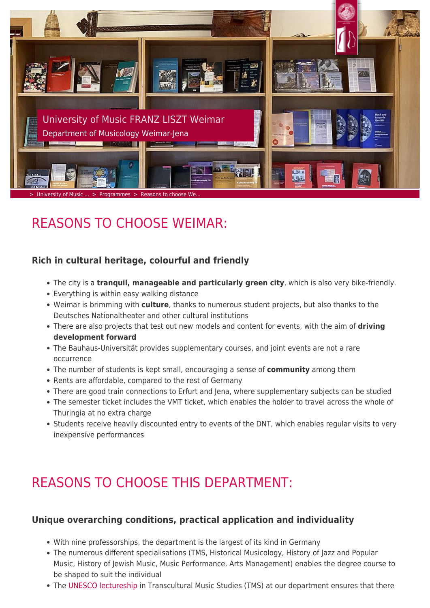

# REASONS TO CHOOSE WEIMAR:

### **Rich in cultural heritage, colourful and friendly**

- The city is a **tranquil, manageable and particularly green city**, which is also very bike-friendly.
- Everything is within easy walking distance
- Weimar is brimming with **culture**, thanks to numerous student projects, but also thanks to the Deutsches Nationaltheater and other cultural institutions
- There are also projects that test out new models and content for events, with the aim of **driving development forward**
- The Bauhaus-Universität provides supplementary courses, and joint events are not a rare occurrence
- The number of students is kept small, encouraging a sense of **community** among them
- Rents are affordable, compared to the rest of Germany
- There are good train connections to Erfurt and Jena, where supplementary subjects can be studied
- The semester ticket includes the VMT ticket, which enables the holder to travel across the whole of Thuringia at no extra charge
- Students receive heavily discounted entry to events of the DNT, which enables regular visits to very inexpensive performances

## REASONS TO CHOOSE THIS DEPARTMENT:

#### **Unique overarching conditions, practical application and individuality**

- With nine professorships, the department is the largest of its kind in Germany
- The numerous different specialisations (TMS, Historical Musicology, History of Jazz and Popular Music, History of Jewish Music, Music Performance, Arts Management) enables the degree course to be shaped to suit the individual
- The [UNESCO lectureship](https://www.hfm-weimar.de/transcultural-music-studies/transcultural-music-studies/?L=1) in Transcultural Music Studies (TMS) at our department ensures that there